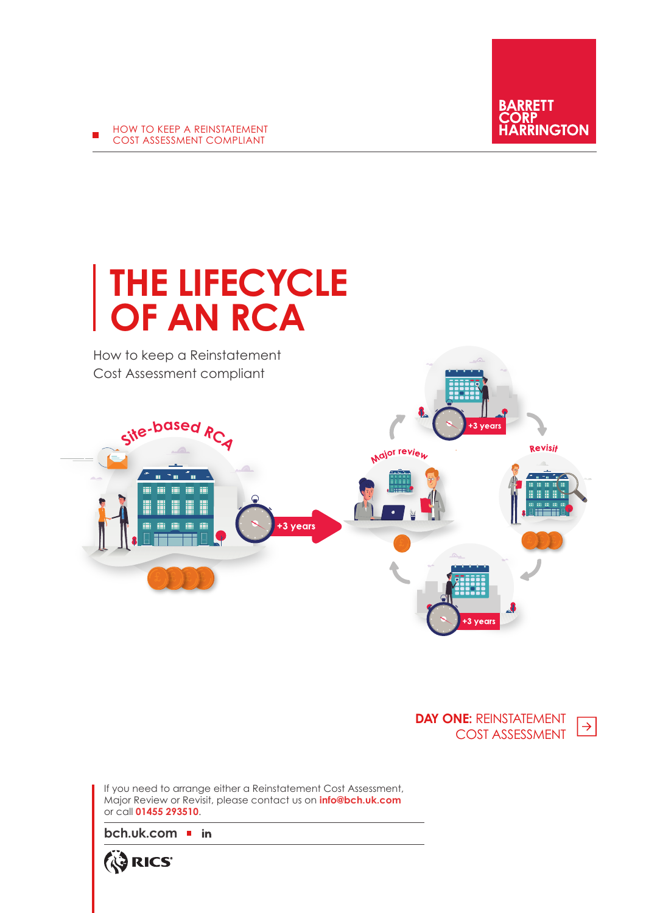

**DAY ONE:** REINSTATEMENT  $\rightarrow$ COST ASSESSMENT

If you need to arrange either a Reinstatement Cost Assessment, Major Review or Revisit, please contact us on **info@bch.uk.com** or call **01455 293510**.

**[bch.uk.com](https://bch.uk.com/)**

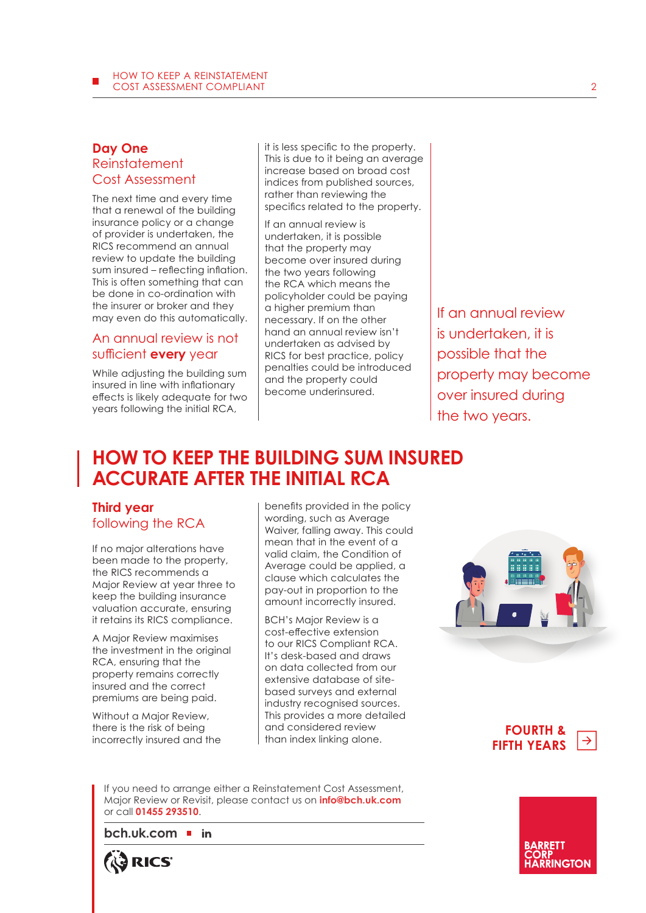### **Day One Reinstatement** Cost Assessment

The next time and every time that a renewal of the building insurance policy or a change of provider is undertaken, the RICS recommend an annual review to update the building sum insured – reflecting inflation. This is often something that can be done in co-ordination with the insurer or broker and they may even do this automatically.

# An annual review is not sufficient **every** year

While adjusting the building sum insured in line with inflationary effects is likely adequate for two years following the initial RCA,

it is less specific to the property. This is due to it being an average increase based on broad cost indices from published sources, rather than reviewing the specifics related to the property.

If an annual review is undertaken, it is possible that the property may become over insured during the two years following the RCA which means the policyholder could be paying a higher premium than necessary. If on the other hand an annual review isn't undertaken as advised by RICS for best practice, policy penalties could be introduced and the property could become underinsured.

If an annual review is undertaken, it is possible that the property may become over insured during the two years.

# **HOW TO KEEP THE BUILDING SUM INSURED ACCURATE AFTER THE INITIAL RCA**

# **Third year** following the RCA

If no major alterations have been made to the property, the RICS recommends a Major Review at year three to keep the building insurance valuation accurate, ensuring it retains its RICS compliance.

A Major Review maximises the investment in the original RCA, ensuring that the property remains correctly insured and the correct premiums are being paid.

Without a Major Review, there is the risk of being incorrectly insured and the benefits provided in the policy wording, such as Average Waiver, falling away. This could mean that in the event of a valid claim, the Condition of Average could be applied, a clause which calculates the pay-out in proportion to the amount incorrectly insured.

BCH's Major Review is a cost-effective extension to our RICS Compliant RCA. It's desk-based and draws on data collected from our extensive database of sitebased surveys and external industry recognised sources. This provides a more detailed and considered review than index linking alone.



**FOURTH &**   $\rightarrow$ **FIFTH YEARS**

If you need to arrange either a Reinstatement Cost Assessment, Major Review or Revisit, please contact us on **info@bch.uk.com** or call **01455 293510**.

**[bch.uk.com](https://bch.uk.com/)**